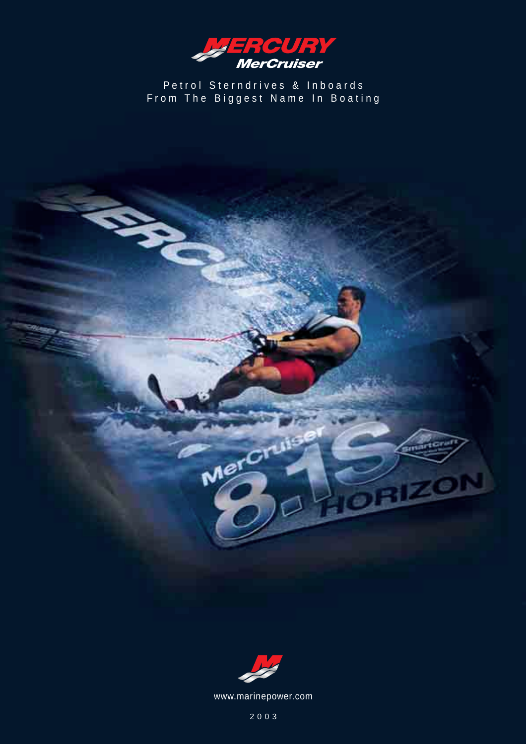

Petrol Sterndrives & Inboards From The Biggest Name In Boating



Mercruis

E21

www.marinepower.com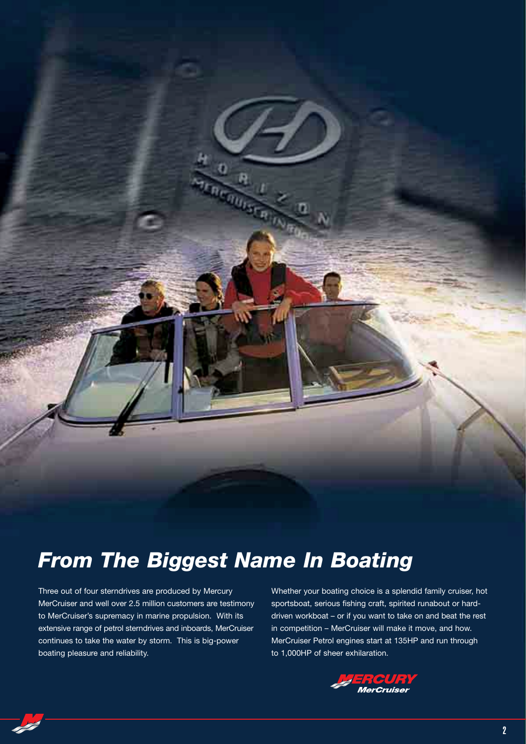

## *From The Biggest Name In Boating*

Three out of four sterndrives are produced by Mercury MerCruiser and well over 2.5 million customers are testimony to MerCruiser's supremacy in marine propulsion. With its extensive range of petrol sterndrives and inboards, MerCruiser continues to take the water by storm. This is big-power boating pleasure and reliability.

Whether your boating choice is a splendid family cruiser, hot sportsboat, serious fishing craft, spirited runabout or harddriven workboat – or if you want to take on and beat the rest in competition – MerCruiser will make it move, and how. MerCruiser Petrol engines start at 135HP and run through to 1,000HP of sheer exhilaration.



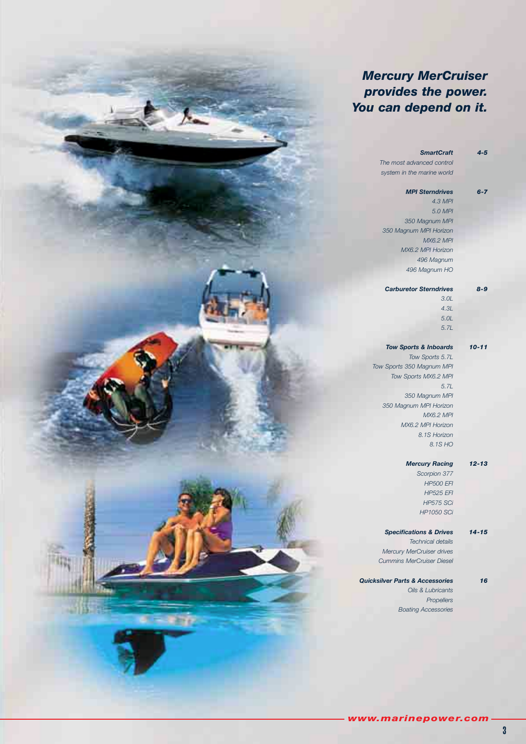### *Mercury MerCruiser provides the power. You can depend on it.*

| $4 - 5$<br><b>SmartCraft</b> |                                            |
|------------------------------|--------------------------------------------|
|                              | The most advanced control                  |
|                              | system in the marine world                 |
| $6 - 7$                      | <b>MPI Sterndrives</b>                     |
| <b>4.3 MPI</b>               |                                            |
| 5.0 MPI                      |                                            |
|                              | 350 Magnum MPI                             |
|                              | 350 Magnum MPI Horizon                     |
| <b>MX6.2 MPI</b>             |                                            |
|                              | MX6.2 MPI Horizon                          |
| 496 Magnum                   |                                            |
|                              | 496 Magnum HO                              |
| $8 - 9$                      | <b>Carburetor Sterndrives</b>              |
| 3.0L                         |                                            |
| 4.3L                         |                                            |
| 5.0L                         |                                            |
| 5.7L                         |                                            |
|                              |                                            |
| $10 - 11$                    | <b>Tow Sports &amp; Inboards</b>           |
|                              | Tow Sports 5.7L                            |
|                              | Tow Sports 350 Magnum MPI                  |
|                              | Tow Sports MX6.2 MPI                       |
| 5.7L                         |                                            |
|                              | 350 Magnum MPI                             |
|                              | 350 Magnum MPI Horizon                     |
| <b>MX6.2 MPI</b>             |                                            |
|                              | MX6.2 MPI Horizon                          |
| 8.1S Horizon                 |                                            |
| 8.1S HO                      |                                            |
| $12 - 13$                    | <b>Mercury Racing</b>                      |
| Scorpion 377                 |                                            |
| <b>HP500 EFI</b>             |                                            |
| <b>HP525 EFI</b>             |                                            |
| <b>HP575 SCi</b>             |                                            |
| <b>HP1050 SCi</b>            |                                            |
|                              |                                            |
| $14 - 15$                    | <b>Specifications &amp; Drives</b>         |
|                              | <b>Technical details</b>                   |
|                              | <b>Mercury MerCruiser drives</b>           |
|                              | <b>Cummins MerCruiser Diesel</b>           |
|                              |                                            |
| 16                           | <b>Quicksilver Parts &amp; Accessories</b> |
|                              | Oils & Lubricants                          |
|                              |                                            |

*Boating Accessories*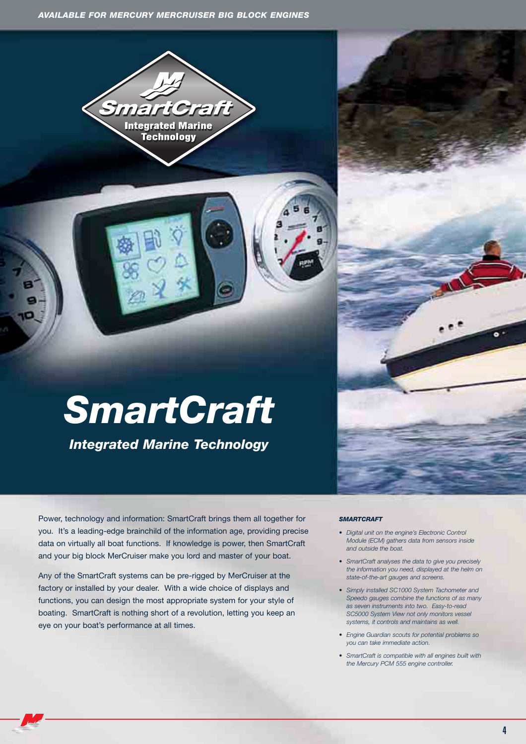

## *SmartCraft*

*Integrated Marine Technology*

Power, technology and information: SmartCraft brings them all together for you. It's a leading-edge brainchild of the information age, providing precise data on virtually all boat functions. If knowledge is power, then SmartCraft and your big block MerCruiser make you lord and master of your boat.

Any of the SmartCraft systems can be pre-rigged by MerCruiser at the factory or installed by your dealer. With a wide choice of displays and functions, you can design the most appropriate system for your style of boating. SmartCraft is nothing short of a revolution, letting you keep an eye on your boat's performance at all times.

#### *SMARTCRAFT*

- *Digital unit on the engine's Electronic Control Module (ECM) gathers data from sensors inside and outside the boat.*
- *SmartCraft analyses the data to give you precisely the information you need, displayed at the helm on state-of-the-art gauges and screens.*
- *Simply installed SC1000 System Tachometer and Speedo gauges combine the functions of as many as seven instruments into two. Easy-to-read SC5000 System View not only monitors vessel systems, it controls and maintains as well.*
- *Engine Guardian scouts for potential problems so you can take immediate action.*
- *SmartCraft is compatible with all engines built with the Mercury PCM 555 engine controller.*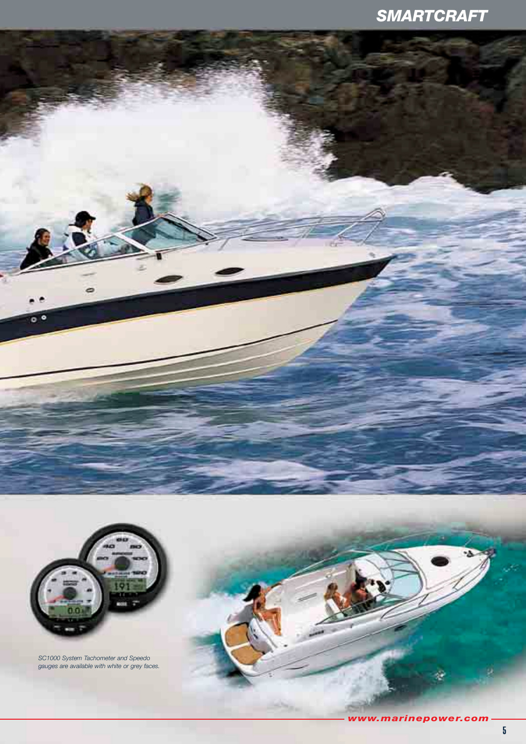## *SMARTCRAFT*



 $\bullet$  $\overline{c}$ 

> *SC1000 System Tachometer and Speedo gauges are available with white or grey faces.*

g)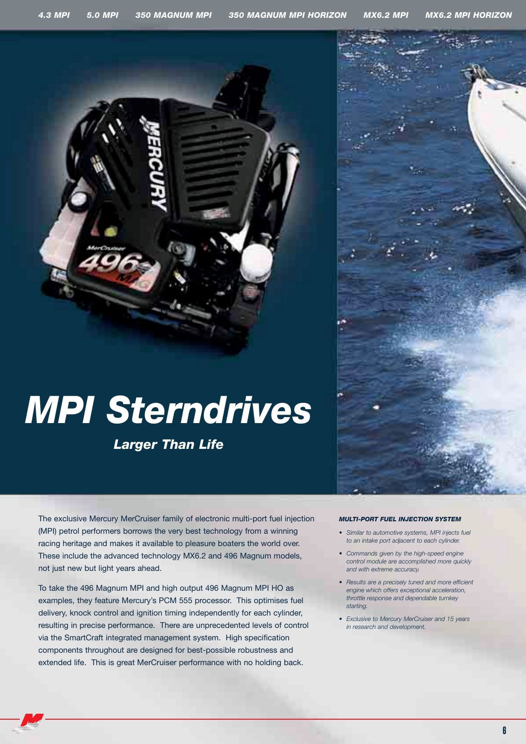

# *MPI Sterndrives*

*Larger Than Life*

The exclusive Mercury MerCruiser family of electronic multi-port fuel injection (MPI) petrol performers borrows the very best technology from a winning racing heritage and makes it available to pleasure boaters the world over. These include the advanced technology MX6.2 and 496 Magnum models, not just new but light years ahead.

To take the 496 Magnum MPI and high output 496 Magnum MPI HO as examples, they feature Mercury's PCM 555 processor. This optimises fuel delivery, knock control and ignition timing independently for each cylinder, resulting in precise performance. There are unprecedented levels of control via the SmartCraft integrated management system. High specification components throughout are designed for best-possible robustness and extended life. This is great MerCruiser performance with no holding back.

#### *MULTI-PORT FUEL INJECTION SYSTEM*

- *Similar to automotive systems, MPI injects fuel to an intake port adjacent to each cylinder.*
- *Commands given by the high-speed engine control module are accomplished more quickly and with extreme accuracy.*
- *Results are a precisely tuned and more efficient engine which offers exceptional acceleration, throttle response and dependable turnkey starting.*
- *Exclusive to Mercury MerCruiser and 15 years in research and development.*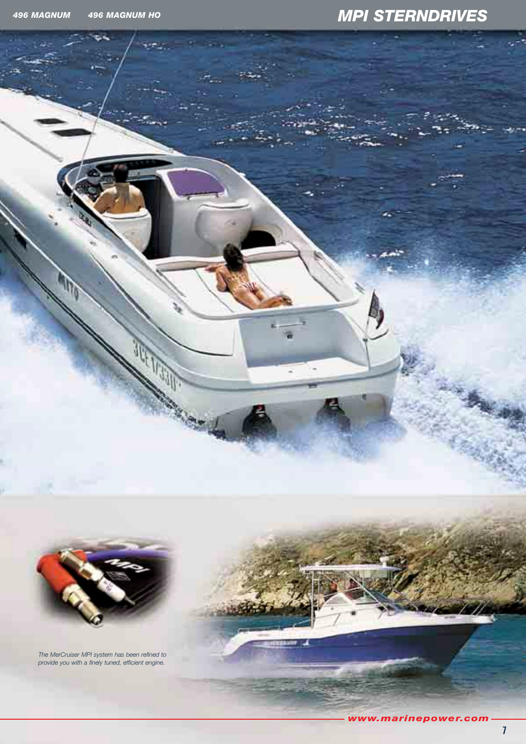## *496 MAGNUM 496 MAGNUM HO MPI STERNDRIVES*



*The MerCruiser MPI system has been refined to provide you with a finely tuned, efficient engine.*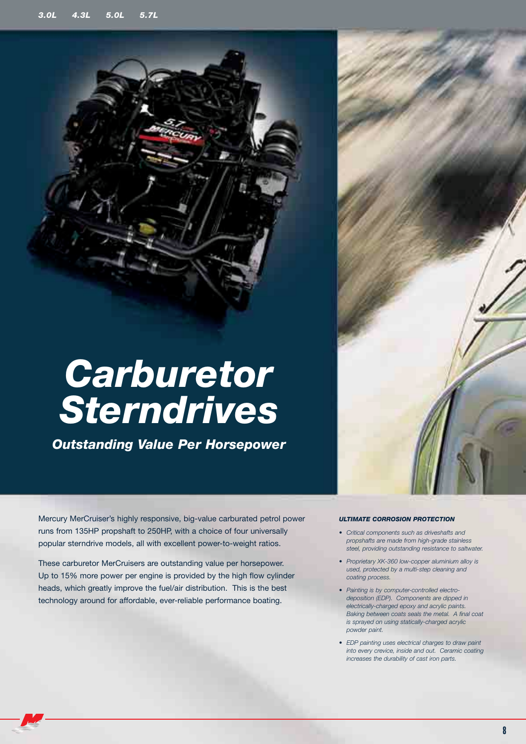## *Carburetor Sterndrives*

*Outstanding Value Per Horsepower*

Mercury MerCruiser's highly responsive, big-value carburated petrol power runs from 135HP propshaft to 250HP, with a choice of four universally popular sterndrive models, all with excellent power-to-weight ratios.

These carburetor MerCruisers are outstanding value per horsepower. Up to 15% more power per engine is provided by the high flow cylinder heads, which greatly improve the fuel/air distribution. This is the best technology around for affordable, ever-reliable performance boating.

#### *ULTIMATE CORROSION PROTECTION*

- *Critical components such as driveshafts and propshafts are made from high-grade stainless steel, providing outstanding resistance to saltwater.*
- *Proprietary XK-360 low-copper aluminium alloy is used, protected by a multi-step cleaning and coating process.*
- *Painting is by computer-controlled electrodeposition (EDP). Components are dipped in electrically-charged epoxy and acrylic paints. Baking between coats seals the metal. A final coat is sprayed on using statically-charged acrylic powder paint.*
- *EDP painting uses electrical charges to draw paint into every crevice, inside and out. Ceramic coating increases the durability of cast iron parts.*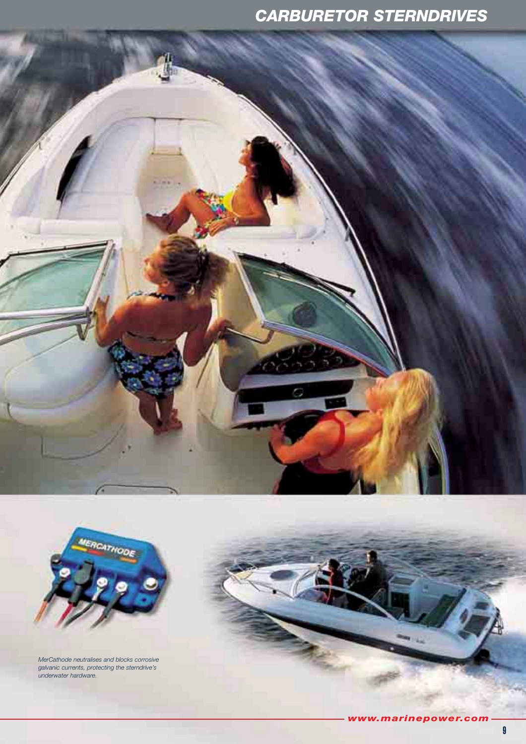## *CARBURETOR STERNDRIVES*



*MerCathode neutralises and blocks corrosive galvanic currents, protecting the sterndrive's underwater hardware.*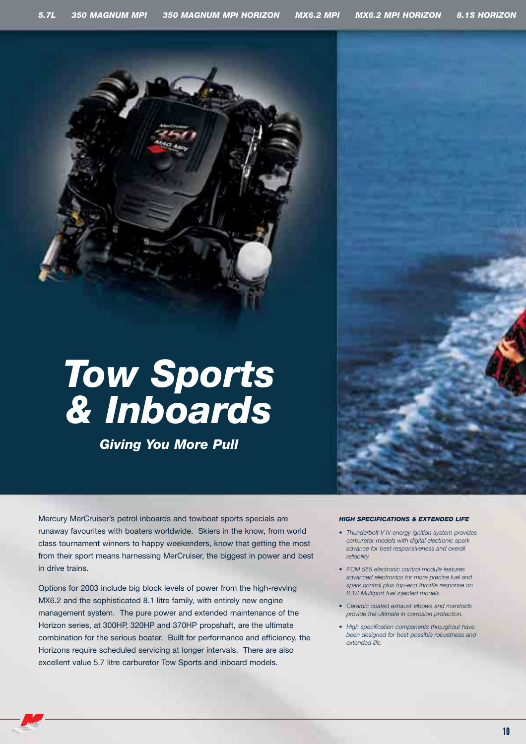

## *Tow Sports & Inboards*

*Giving You More Pull*

Mercury MerCruiser's petrol inboards and towboat sports specials are runaway favourites with boaters worldwide. Skiers in the know, from world class tournament winners to happy weekenders, know that getting the most from their sport means harnessing MerCruiser, the biggest in power and best in drive trains.

Options for 2003 include big block levels of power from the high-revving MX6.2 and the sophisticated 8.1 litre family, with entirely new engine management system. The pure power and extended maintenance of the Horizon series, at 300HP, 320HP and 370HP propshaft, are the ultimate combination for the serious boater. Built for performance and efficiency, the Horizons require scheduled servicing at longer intervals. There are also excellent value 5.7 litre carburetor Tow Sports and inboard models.

#### *HIGH SPECIFICATIONS & EXTENDED LIFE*

- *Thunderbolt V hi-energy ignition system provides carburetor models with digital electronic spark advance for best responsiveness and overall reliability.*
- *PCM 555 electronic control module features advanced electronics for more precise fuel and spark control plus top-end throttle response on 8.1S Multiport fuel injected models.*
- *Ceramic coated exhaust elbows and manifolds provide the ultimate in corrosion protection.*
- *High specification components throughout have been designed for best-possible robustness and extended life.*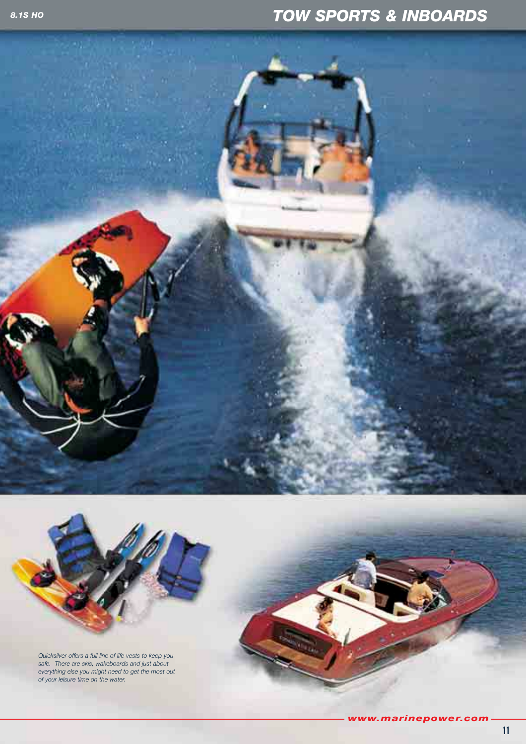## *TOW SPORTS & INBOARDS*





*Quicksilver offers a full line of life vests to keep you safe. There are skis, wakeboards and just about everything else you might need to get the most out of your leisure time on the water.*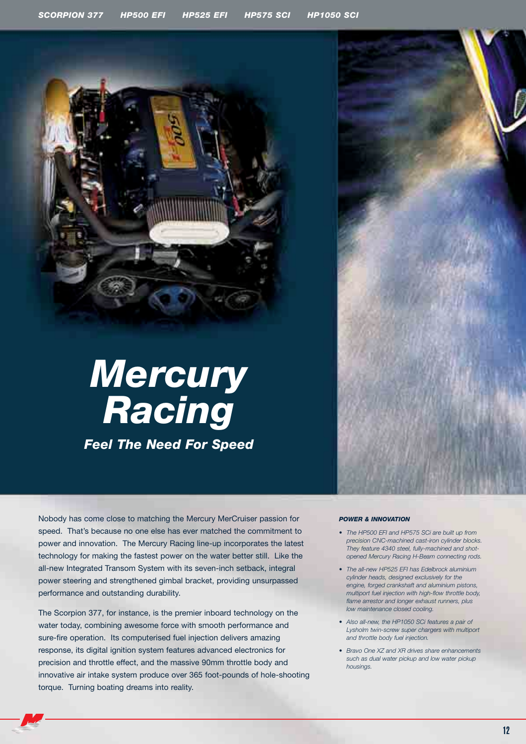

Nobody has come close to matching the Mercury MerCruiser passion for speed. That's because no one else has ever matched the commitment to power and innovation. The Mercury Racing line-up incorporates the latest technology for making the fastest power on the water better still. Like the all-new Integrated Transom System with its seven-inch setback, integral power steering and strengthened gimbal bracket, providing unsurpassed performance and outstanding durability.

The Scorpion 377, for instance, is the premier inboard technology on the water today, combining awesome force with smooth performance and sure-fire operation. Its computerised fuel injection delivers amazing response, its digital ignition system features advanced electronics for precision and throttle effect, and the massive 90mm throttle body and innovative air intake system produce over 365 foot-pounds of hole-shooting torque. Turning boating dreams into reality.

#### *POWER & INNOVATION*

- *The HP500 EFI and HP575 SCi are built up from precision CNC-machined cast-iron cylinder blocks. They feature 4340 steel, fully-machined and shotopened Mercury Racing H-Beam connecting rods.*
- *The all-new HP525 EFI has Edelbrock aluminium cylinder heads, designed exclusively for the engine, forged crankshaft and aluminium pistons, multiport fuel injection with high-flow throttle body, flame arrestor and longer exhaust runners, plus low maintenance closed cooling.*
- *Also all-new, the HP1050 SCi features a pair of Lysholm twin-screw super chargers with multiport and throttle body fuel injection.*
- *Bravo One XZ and XR drives share enhancements such as dual water pickup and low water pickup housings.*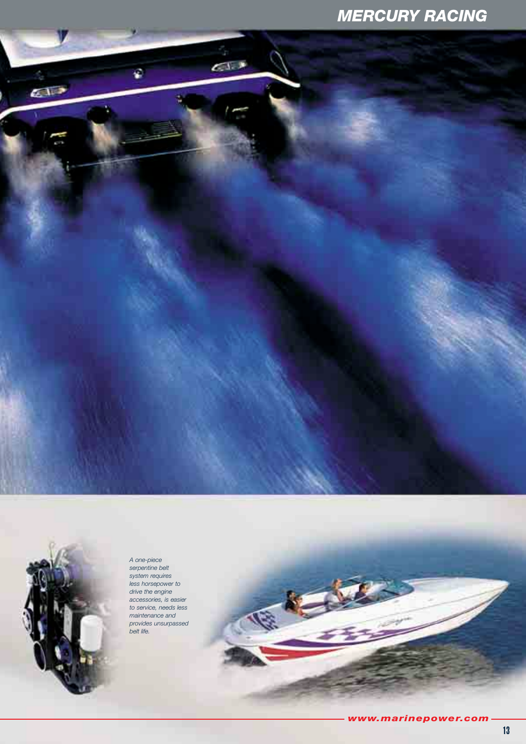## *MERCURY RACING*





*A one-piece serpentine belt system requires less horsepower to drive the engine accessories, is easier to service, needs less maintenance and provides unsurpassed belt life.*

*www.marinepower.com*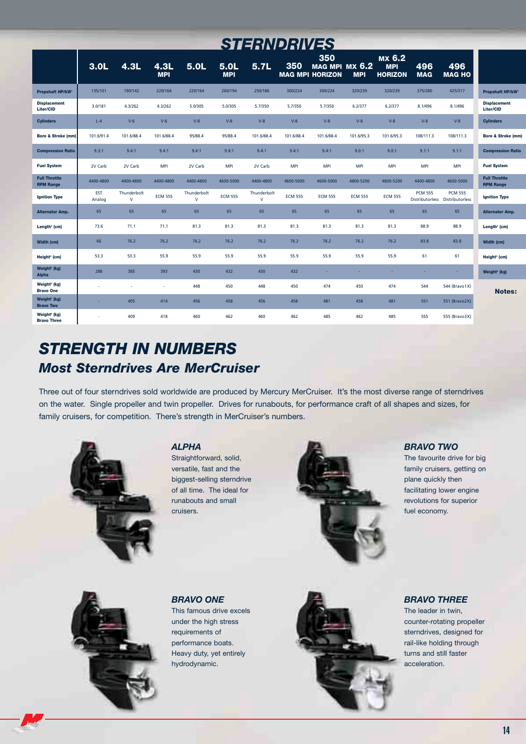| <i><b>STERNDRIVES</b></i>                      |                      |                             |                    |                             |                    |                             |                |                                                        |                |                                        |                   |                                                   |                                          |
|------------------------------------------------|----------------------|-----------------------------|--------------------|-----------------------------|--------------------|-----------------------------|----------------|--------------------------------------------------------|----------------|----------------------------------------|-------------------|---------------------------------------------------|------------------------------------------|
|                                                | 3.0 <sub>L</sub>     | 4.3L                        | 4.3L<br><b>MPI</b> | 5.0 <sub>L</sub>            | 5.0L<br><b>MPI</b> | 5.7L                        | 350            | 350<br><b>MAG MPI MX 6.2</b><br><b>MAG MPI HORIZON</b> | <b>MPI</b>     | MX 6.2<br><b>MPI</b><br><b>HORIZON</b> | 496<br><b>MAG</b> | 496<br><b>MAG HO</b>                              |                                          |
| Propshaft HP/kW <sup>®</sup>                   | 135/101              | 190/142                     | 220/164            | 220/164                     | 260/194            | 250/186                     | 300/224        | 300/224                                                | 320/239        | 320/239                                | 375/280           | 425/317                                           | <b>Propshaft HP/kW</b>                   |
| <b>Displacement</b><br>Liter/CID               | 3.0/181              | 4.3/262                     | 4.3/262            | 5.0/305                     | 5.0/305            | 5.7/350                     | 5.7/350        | 5.7/350                                                | 6.2/377        | 6.2/377                                | 8.1/496           | 8.1/496                                           | <b>Displacement</b><br>Liter/CID         |
| <b>Cylinders</b>                               | $L-4$                | $V-6$                       | $V-6$              | $V-8$                       | $V-8$              | $V-8$                       | $V-8$          | $V-8$                                                  | $V-8$          | $V-8$                                  | $V-8$             | $V-8$                                             | <b>Cylinders</b>                         |
| <b>Bore &amp; Stroke (mm)</b>                  | 101.6/91.4           | 101.6/88.4                  | 101.6/88.4         | 95/88.4                     | 95/88.4            | 101.6/88.4                  | 101.6/88.4     | 101.6/88.4                                             | 101.6/95.3     | 101.6/95.3                             | 108/111.3         | 108/111.3                                         | <b>Bore &amp; Stroke (mm)</b>            |
| <b>Compression Ratio</b>                       | 9.3:1                | 9.4:1                       | 9.4:1              | 9.4:1                       | 9.4:1              | 9.4:1                       | 9.4:1          | 9.4:1                                                  | 9.0:1          | 9.0:1                                  | 9.1:1             | 9.1:1                                             | <b>Compression Ratio</b>                 |
| <b>Fuel System</b>                             | 2V Carb              | 2V Carb                     | <b>MPI</b>         | 2V Carb                     | <b>MPI</b>         | 2V Carb                     | <b>MPI</b>     | <b>MPI</b>                                             | <b>MPI</b>     | <b>MPI</b>                             | <b>MPI</b>        | <b>MPI</b>                                        | <b>Fuel System</b>                       |
| <b>Full Throttle</b><br><b>RPM Range</b>       | 4400-4800            | 4400-4800                   | 4400-4800          | 4400-4800                   | 4600-5000          | 4400-4800                   | 4600-5000      | 4600-5000                                              | 4800-5200      | 4800-5200                              | 4400-4800         | 4600-5000                                         | <b>Full Throttle</b><br><b>RPM Range</b> |
| <b>Ignition Type</b>                           | <b>EST</b><br>Analog | Thunderbolt<br>$\mathsf{V}$ | <b>ECM 555</b>     | Thunderbolt<br>$\mathsf{V}$ | <b>ECM 555</b>     | Thunderbolt<br>$\mathsf{V}$ | <b>ECM 555</b> | <b>ECM 555</b>                                         | <b>ECM 555</b> | <b>ECM 555</b>                         | <b>PCM 555</b>    | <b>PCM 555</b><br>Distributorless Distributorless | <b>Ignition Type</b>                     |
| <b>Alternator Amp.</b>                         | 65                   | 65                          | 65                 | 65                          | 65                 | 65                          | 65             | 65                                                     | 65             | 65                                     | 65                | 65                                                | <b>Alternator Amp.</b>                   |
| Length <sup>3</sup> (cm)                       | 73.6                 | 71.1                        | 71.1               | 81.3                        | 81.3               | 81.3                        | 81.3           | 81.3                                                   | 81.3           | 81.3                                   | 88.9              | 88.9                                              | Length <sup>3</sup> (cm)                 |
| Width (cm)                                     | 66                   | 76.2                        | 76.2               | 76.2                        | 76.2               | 76.2                        | 76.2           | 76.2                                                   | 76.2           | 76.2                                   | 83.8              | 83.8                                              | <b>Width (cm)</b>                        |
| Height <sup>4</sup> (cm)                       | 53.3                 | 53.3                        | 55.9               | 55.9                        | 55.9               | 55.9                        | 55.9           | 55.9                                                   | 55.9           | 55.9                                   | 61                | 61                                                | Height <sup>4</sup> (cm)                 |
| Weight <sup>5</sup> (kg)<br><b>Alpha</b>       | 288                  | 385                         | 393                | 430                         | 432                | 430                         | 432            | ÷                                                      | ×.             | ÷.                                     | ×.                | ÷.                                                | Weight <sup>s</sup> (kg)                 |
| Weight <sup>5</sup> (kg)<br><b>Bravo One</b>   | J.                   | Î,                          | ä,                 | 448                         | 450                | 448                         | 450            | 474                                                    | 450            | 474                                    | 544               | 544 (Bravo1X)                                     | <b>Notes:</b>                            |
| Weight <sup>s</sup> (kg)<br><b>Bravo Two</b>   | ×.                   | 405                         | 414                | 456                         | 458                | 456                         | 458            | 481                                                    | 458            | 481                                    | 551               | 551 (Bravo2X)                                     |                                          |
| Weight <sup>s</sup> (kg)<br><b>Bravo Three</b> | $\sim$               | 409                         | 418                | 460                         | 462                | 460                         | 462            | 485                                                    | 462            | 485                                    | 555               | 555 (Bravo3X)                                     |                                          |

## *STRENGTH IN NUMBERS Most Sterndrives Are MerCruiser*

Three out of four sterndrives sold worldwide are produced by Mercury MerCruiser. It's the most diverse range of sterndrives on the water. Single propeller and twin propeller. Drives for runabouts, for performance craft of all shapes and sizes, for family cruisers, for competition. There's strength in MerCruiser's numbers.



#### *ALPHA*

Straightforward, solid, versatile, fast and the biggest-selling sterndrive of all time. The ideal for runabouts and small cruisers.



#### *BRAVO TWO*

The favourite drive for big family cruisers, getting on plane quickly then facilitating lower engine revolutions for superior fuel economy.



#### *BRAVO ONE* This famous drive excels under the high stress requirements of performance boats. Heavy duty, yet entirely hydrodynamic.



#### *BRAVO THREE*

The leader in twin, counter-rotating propeller sterndrives, designed for rail-like holding through turns and still faster acceleration.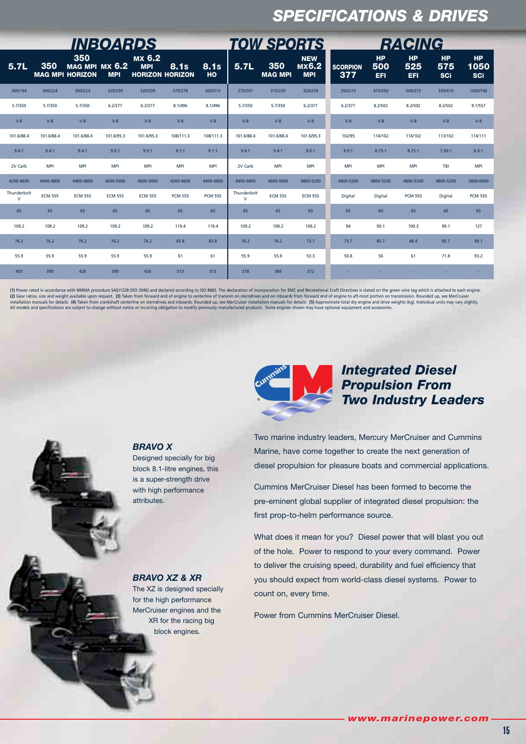## *SPECIFICATIONS & DRIVES*

| <b>INBOARDS</b>       |                |                                                 |                |                                                |                |                |                             | <b>TOW SPORTS</b>     |                                          | <b>RACING</b>          |                         |                                |                                |                                 |
|-----------------------|----------------|-------------------------------------------------|----------------|------------------------------------------------|----------------|----------------|-----------------------------|-----------------------|------------------------------------------|------------------------|-------------------------|--------------------------------|--------------------------------|---------------------------------|
| 5.7L                  | 350            | 350<br>MAG MPI MX 6.2<br><b>MAG MPI HORIZON</b> | <b>MPI</b>     | MX 6.2<br><b>MPI</b><br><b>HORIZON HORIZON</b> | <b>8.1s</b>    | 8.1s<br>HO     | 5.7L                        | 350<br><b>MAG MPI</b> | <b>NEW</b><br><b>MX6.2</b><br><b>MPI</b> | <b>SCORPION</b><br>377 | <b>HP</b><br>500<br>EFI | <b>HP</b><br>525<br><b>EFI</b> | <b>HP</b><br>575<br><b>SCi</b> | <b>HP</b><br>1050<br><b>SCi</b> |
| 260/194               | 300/224        | 300/224                                         | 320/239        | 320/239                                        | 370/276        | 420/313        | 270/201                     | 315/235               | 320/239                                  | 350/273                | 470/350                 | 500/373                        | 550/410                        | 1000/746                        |
| 5.7/350               | 5.7/350        | 5.7/350                                         | 6.2/377        | 6.2/377                                        | 8.1/496        | 8.1/496        | 5.7/350                     | 5.7/350               | 6.2/377                                  | 6.2/377                | 8.2/502                 | 8.2/502                        | 8.2/502                        | 9.1/557                         |
| $V-8$                 | $V-8$          | $V-8$                                           | $V-8$          | $V-8$                                          | $V-8$          | $V-8$          | $V-8$                       | $V-8$                 | $V-8$                                    | $V-8$                  | $V-8$                   | $V-8$                          | $V-8$                          | $V-8$                           |
| 101.6/88.4            | 101.6/88.4     | 101.6/88.4                                      | 101.6/95.3     | 101.6/95.3                                     | 108/111.3      | 108/111.3      | 101.6/88.4                  | 101.6/88.4            | 101.6/95.3                               | 102/95                 | 114/102                 | 114/102                        | 113/102                        | 114/111                         |
| 9.4:1                 | 9.4:1          | 9.4:1                                           | 9.0:1          | 9.0:1                                          | 9.1:1          | 9.1:1          | 9.4:1                       | 9.4:1                 | 9.0:1                                    | 9.0:1                  | 8.75:1                  | 8.75:1                         | 7.50:1                         | 8.0:1                           |
| 2V Carb               | <b>MPI</b>     | <b>MPI</b>                                      | <b>MPI</b>     | <b>MPI</b>                                     | <b>MPI</b>     | <b>MPI</b>     | 2V Carb                     | <b>MPI</b>            | <b>MPI</b>                               | <b>MPI</b>             | <b>MPI</b>              | <b>MPI</b>                     | TBI                            | <b>MPI</b>                      |
| 4200-4600             | 4400-4800      | 4400-4800                                       | 4600-5000      | 4600-5000                                      | 4200-4600      | 4400-4800      | 4400-4800                   | 4600-5000             | 4800-5200                                | 4800-5200              | 4800-5200               | 4800-5200                      | 4800-5200                      | 5800-6000                       |
| Thunderbolt<br>$\vee$ | <b>ECM 555</b> | <b>ECM 555</b>                                  | <b>ECM 555</b> | <b>ECM 555</b>                                 | <b>PCM 555</b> | <b>PCM 555</b> | Thunderbolt<br>$\mathsf{V}$ | <b>ECM 555</b>        | <b>ECM 555</b>                           | Digital                | Digital                 | <b>PCM 555</b>                 | Digital                        | <b>PCM 555</b>                  |
| 65                    | 65             | 65                                              | 65             | 65                                             | 65             | 65             | 65                          | 65                    | 65                                       | 65                     | 60                      | 65                             | 60                             | 65                              |
| 109.2                 | 109.2          | 109.2                                           | 109.2          | 109.2                                          | 119.4          | 119.4          | 109.2                       | 109.2                 | 109.2                                    | 94                     | 99.1                    | 100.3                          | 99.1                           | 127                             |
| 76.2                  | 76.2           | 76.2                                            | 76.2           | 76.2                                           | 83.8           | 83.8           | 76.2                        | 76.2                  | 73.7                                     | 73.7                   | 85.7                    | 86.4                           | 85.7                           | 99.1                            |
| 55.9                  | 55.9           | 55.9                                            | 55.9           | 55.9                                           | 61             | 61             | 55.9                        | 55.9                  | 53.3                                     | 50.8                   | 56                      | 61                             | 71.8                           | 93.2                            |
| 403                   | 390            | 426                                             | 390            | 426                                            | 513            | 513            | 378                         | 369                   | 372                                      |                        |                         |                                |                                |                                 |

(1) Power rated in accordance with NMMA procedure SAEJ1228 (ISO 3046) and declared according to ISO 8665. The declaration of incorporation for EMC and Recreational Craft Directives is stated on the green wire tag which is (2) Gear ratios, size and weight available upon request. (3) Taken from forward end of engine to centerline of transom on sterndrives and on inboards from forward end of engine to aft-most portion on transmission. Rounded



### *Integrated Diesel Propulsion From Two Industry Leaders*

Two marine industry leaders, Mercury MerCruiser and Cummins Marine, have come together to create the next generation of diesel propulsion for pleasure boats and commercial applications.

Cummins MerCruiser Diesel has been formed to become the pre-eminent global supplier of integrated diesel propulsion: the first prop-to-helm performance source.

What does it mean for you? Diesel power that will blast you out of the hole. Power to respond to your every command. Power to deliver the cruising speed, durability and fuel efficiency that you should expect from world-class diesel systems. Power to count on, every time.

Power from Cummins MerCruiser Diesel.

#### block 8.1-litre engines, this is a super-strength drive with high performance

attributes.

Designed specially for big

*BRAVO X*

*BRAVO XZ & XR*

The XZ is designed specially for the high performance MerCruiser engines and the XR for the racing big block engines.